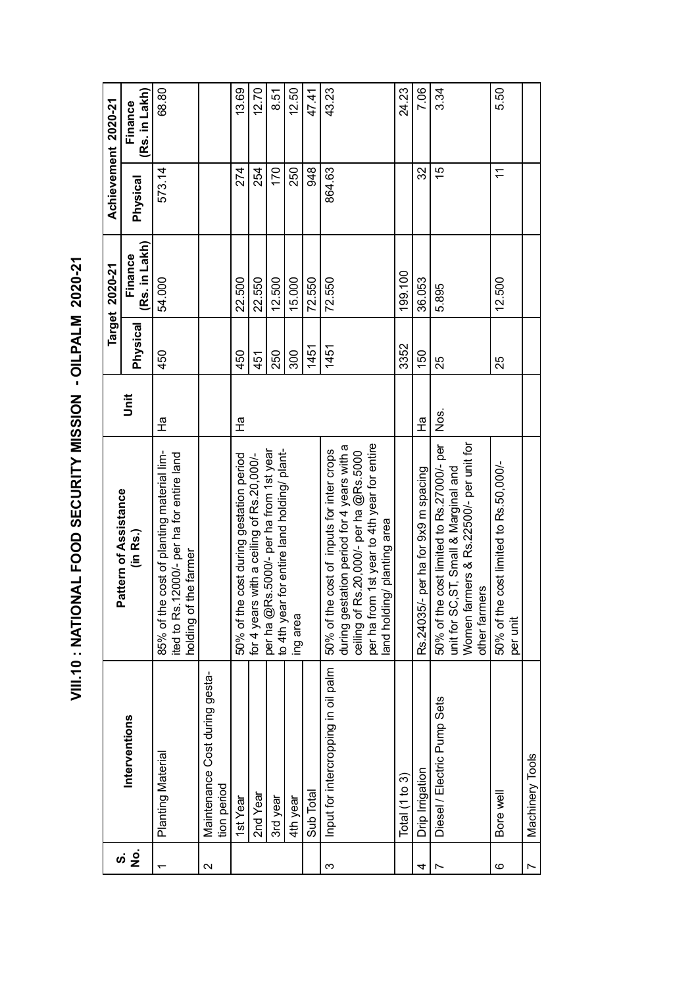VIII.10: NATIONAL FOOD SECURITY MISSION - OILPALM 2020-21 **VIII.10 : NATIONAL FOOD SECURITY MISSION - OILPALM 2020-21**

| Achievement 2020-21   | (Rs. in Lakh)<br>Finance | 68.80                                                                                                            |                                               | 13.69                                   | 12.70                                     | 8.51                                                                                  | 12.50    | 47.41     | 43.23                                                                                                                                                                                                                  | 24.23            | 7.06                                | 3.34                                                                                                                                           | 5.50                                                    |                 |
|-----------------------|--------------------------|------------------------------------------------------------------------------------------------------------------|-----------------------------------------------|-----------------------------------------|-------------------------------------------|---------------------------------------------------------------------------------------|----------|-----------|------------------------------------------------------------------------------------------------------------------------------------------------------------------------------------------------------------------------|------------------|-------------------------------------|------------------------------------------------------------------------------------------------------------------------------------------------|---------------------------------------------------------|-----------------|
|                       | Physical                 | 573.14                                                                                                           |                                               | 274                                     | 254                                       | 170                                                                                   | 250      | 948       | 864.63                                                                                                                                                                                                                 |                  | 32                                  | 15                                                                                                                                             | $\stackrel{\textstyle\textstyle\cdot}{\textstyle\cdot}$ |                 |
| Target 2020-21        | (Rs. in Lakh)<br>Finance | 54.000                                                                                                           |                                               | 22.500                                  | 22.550                                    | 12.500                                                                                | 15.000   | 72.550    | 72.550                                                                                                                                                                                                                 | 199.100          | 36.053                              | 5.895                                                                                                                                          | 12.500                                                  |                 |
|                       | <b>Physical</b>          | 450                                                                                                              |                                               | 450                                     | 451                                       | 250                                                                                   | 300      | 1451      | 1451                                                                                                                                                                                                                   | 3352             | 150                                 | 25                                                                                                                                             | 25                                                      |                 |
|                       | ji                       | 운                                                                                                                |                                               | 훈                                       |                                           |                                                                                       |          |           |                                                                                                                                                                                                                        |                  | 운                                   | Nos.                                                                                                                                           |                                                         |                 |
| Pattern of Assistance | (in Rs.)                 | 85% of the cost of planting material lim-<br>ited to Rs. 12000/- per ha for entire land<br>holding of the farmer |                                               | 50% of the cost during gestation period | for 4 years with a ceiling of Rs.20,000/- | per ha @Rs.5000/- per ha from 1st year<br>to 4th year for entire land holding/ plant- | ing area |           | per ha from 1st year to 4th year for entire<br>during gestation period for 4 years with a<br>50% of the cost of inputs for inter crops<br>Rs.20,000/- per ha @Rs.5000<br>ing/planting area<br>land holdi<br>ceiling of |                  | Rs.24035/- per ha for 9x9 m spacing | Women farmers & Rs.22500/- per unit for<br>50% of the cost limited to Rs.27000/- per<br>unit for SC, ST, Small & Marginal and<br>other farmers | 50% of the cost limited to Rs.50,000/-<br>per unit      |                 |
|                       | Interventions            | Planting Material                                                                                                | Maintenance Cost during gesta-<br>tion period | 1st Year                                | 2nd Year                                  | 3rd year                                                                              | 4th year | Sub Total | Input for intercropping in oil palm                                                                                                                                                                                    | Total $(1 to 3)$ | Drip Irrigation                     | Diesel / Electric Pump Sets                                                                                                                    | Bore well                                               | Machinery Tools |
| ທ່                    | ġ                        |                                                                                                                  | $\mathbf{\Omega}$                             |                                         |                                           |                                                                                       |          |           | ω                                                                                                                                                                                                                      |                  | 4                                   |                                                                                                                                                | ဖ                                                       |                 |